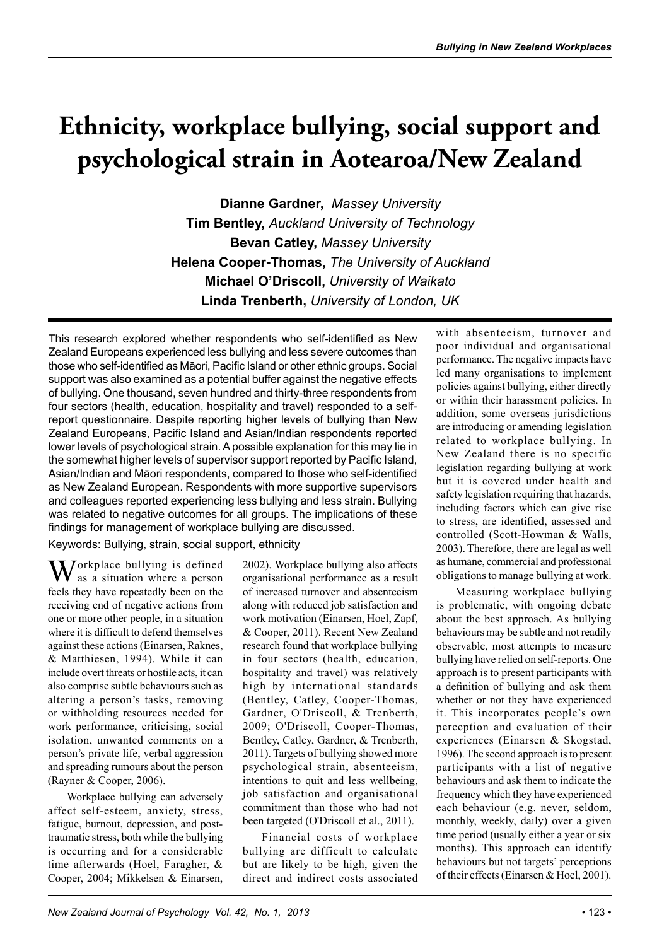# **Ethnicity, workplace bullying, social support and psychological strain in Aotearoa/New Zealand**

**Dianne Gardner,** *Massey University* **Tim Bentley,** *Auckland University of Technology*  **Bevan Catley,** *Massey University* **Helena Cooper-Thomas,** *The University of Auckland* **Michael O'Driscoll,** *University of Waikato* **Linda Trenberth,** *University of London, UK*

This research explored whether respondents who self-identified as New Zealand Europeans experienced less bullying and less severe outcomes than those who self-identified as Māori, Pacific Island or other ethnic groups. Social support was also examined as a potential buffer against the negative effects of bullying. One thousand, seven hundred and thirty-three respondents from four sectors (health, education, hospitality and travel) responded to a selfreport questionnaire. Despite reporting higher levels of bullying than New Zealand Europeans, Pacific Island and Asian/Indian respondents reported lower levels of psychological strain. A possible explanation for this may lie in the somewhat higher levels of supervisor support reported by Pacific Island, Asian/Indian and Māori respondents, compared to those who self-identified as New Zealand European. Respondents with more supportive supervisors and colleagues reported experiencing less bullying and less strain. Bullying was related to negative outcomes for all groups. The implications of these findings for management of workplace bullying are discussed.

Keywords: Bullying, strain, social support, ethnicity

 $M$ orkplace bullying is defined as a situation where a person feels they have repeatedly been on the receiving end of negative actions from one or more other people, in a situation where it is difficult to defend themselves against these actions (Einarsen, Raknes, & Matthiesen, 1994). While it can include overt threats or hostile acts, it can also comprise subtle behaviours such as altering a person's tasks, removing or withholding resources needed for work performance, criticising, social isolation, unwanted comments on a person's private life, verbal aggression and spreading rumours about the person (Rayner & Cooper, 2006).

Workplace bullying can adversely affect self-esteem, anxiety, stress, fatigue, burnout, depression, and posttraumatic stress, both while the bullying is occurring and for a considerable time afterwards (Hoel, Faragher, & Cooper, 2004; Mikkelsen & Einarsen,

2002). Workplace bullying also affects organisational performance as a result of increased turnover and absenteeism along with reduced job satisfaction and work motivation (Einarsen, Hoel, Zapf, & Cooper, 2011). Recent New Zealand research found that workplace bullying in four sectors (health, education, hospitality and travel) was relatively high by international standards (Bentley, Catley, Cooper-Thomas, Gardner, O'Driscoll, & Trenberth, 2009; O'Driscoll, Cooper-Thomas, Bentley, Catley, Gardner, & Trenberth, 2011). Targets of bullying showed more psychological strain, absenteeism, intentions to quit and less wellbeing, job satisfaction and organisational commitment than those who had not been targeted (O'Driscoll et al., 2011).

Financial costs of workplace bullying are difficult to calculate but are likely to be high, given the direct and indirect costs associated

with absenteeism, turnover and poor individual and organisational performance. The negative impacts have led many organisations to implement policies against bullying, either directly or within their harassment policies. In addition, some overseas jurisdictions are introducing or amending legislation related to workplace bullying. In New Zealand there is no specific legislation regarding bullying at work but it is covered under health and safety legislation requiring that hazards, including factors which can give rise to stress, are identified, assessed and controlled (Scott-Howman & Walls, 2003). Therefore, there are legal as well as humane, commercial and professional obligations to manage bullying at work.

Measuring workplace bullying is problematic, with ongoing debate about the best approach. As bullying behaviours may be subtle and not readily observable, most attempts to measure bullying have relied on self-reports. One approach is to present participants with a definition of bullying and ask them whether or not they have experienced it. This incorporates people's own perception and evaluation of their experiences (Einarsen & Skogstad, 1996). The second approach is to present participants with a list of negative behaviours and ask them to indicate the frequency which they have experienced each behaviour (e.g. never, seldom, monthly, weekly, daily) over a given time period (usually either a year or six months). This approach can identify behaviours but not targets' perceptions of their effects (Einarsen & Hoel, 2001).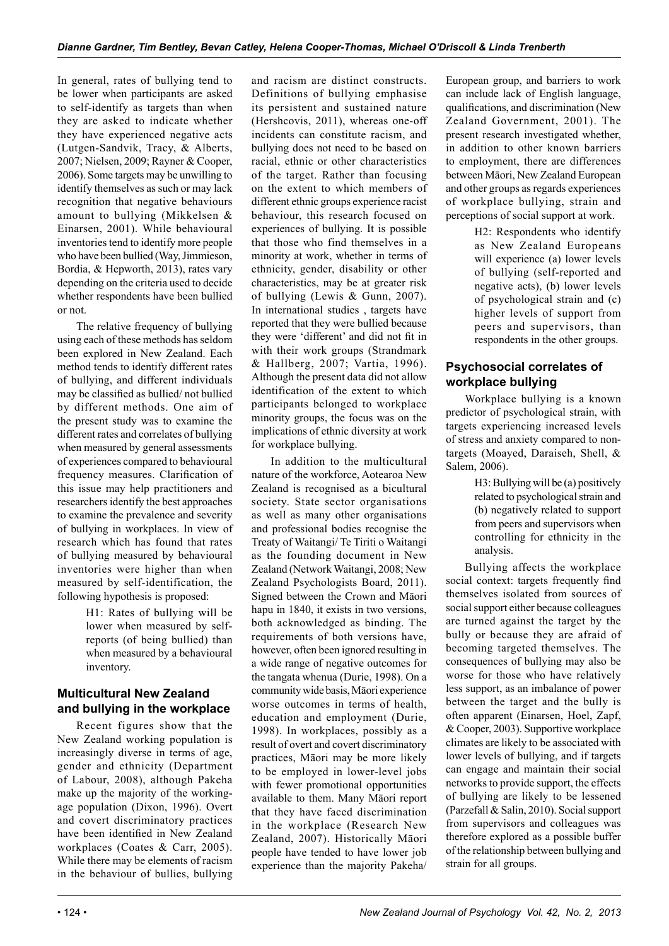and racism are distinct constructs.

In general, rates of bullying tend to be lower when participants are asked to self-identify as targets than when they are asked to indicate whether they have experienced negative acts (Lutgen-Sandvik, Tracy, & Alberts, 2007; Nielsen, 2009; Rayner & Cooper, 2006). Some targets may be unwilling to identify themselves as such or may lack recognition that negative behaviours amount to bullying (Mikkelsen & Einarsen, 2001). While behavioural inventories tend to identify more people who have been bullied (Way, Jimmieson, Bordia, & Hepworth, 2013), rates vary depending on the criteria used to decide whether respondents have been bullied or not.

The relative frequency of bullying using each of these methods has seldom been explored in New Zealand. Each method tends to identify different rates of bullying, and different individuals may be classified as bullied/ not bullied by different methods. One aim of the present study was to examine the different rates and correlates of bullying when measured by general assessments of experiences compared to behavioural frequency measures. Clarification of this issue may help practitioners and researchers identify the best approaches to examine the prevalence and severity of bullying in workplaces. In view of research which has found that rates of bullying measured by behavioural inventories were higher than when measured by self-identification, the following hypothesis is proposed:

> H1: Rates of bullying will be lower when measured by selfreports (of being bullied) than when measured by a behavioural inventory.

# **Multicultural New Zealand and bullying in the workplace**

Recent figures show that the New Zealand working population is increasingly diverse in terms of age, gender and ethnicity (Department of Labour, 2008), although Pakeha make up the majority of the workingage population (Dixon, 1996). Overt and covert discriminatory practices have been identified in New Zealand workplaces (Coates & Carr, 2005). While there may be elements of racism in the behaviour of bullies, bullying

Definitions of bullying emphasise its persistent and sustained nature (Hershcovis, 2011), whereas one-off incidents can constitute racism, and bullying does not need to be based on racial, ethnic or other characteristics of the target. Rather than focusing on the extent to which members of different ethnic groups experience racist behaviour, this research focused on experiences of bullying. It is possible that those who find themselves in a minority at work, whether in terms of ethnicity, gender, disability or other characteristics, may be at greater risk of bullying (Lewis & Gunn, 2007). In international studies , targets have reported that they were bullied because they were 'different' and did not fit in with their work groups (Strandmark & Hallberg, 2007; Vartia, 1996). Although the present data did not allow identification of the extent to which participants belonged to workplace minority groups, the focus was on the implications of ethnic diversity at work for workplace bullying. In addition to the multicultural

nature of the workforce, Aotearoa New Zealand is recognised as a bicultural society. State sector organisations as well as many other organisations and professional bodies recognise the Treaty of Waitangi/ Te Tiriti o Waitangi as the founding document in New Zealand (Network Waitangi, 2008; New Zealand Psychologists Board, 2011). Signed between the Crown and Māori hapu in 1840, it exists in two versions, both acknowledged as binding. The requirements of both versions have, however, often been ignored resulting in a wide range of negative outcomes for the tangata whenua (Durie, 1998). On a community wide basis, Māori experience worse outcomes in terms of health, education and employment (Durie, 1998). In workplaces, possibly as a result of overt and covert discriminatory practices, Māori may be more likely to be employed in lower-level jobs with fewer promotional opportunities available to them. Many Māori report that they have faced discrimination in the workplace (Research New Zealand, 2007). Historically Māori people have tended to have lower job experience than the majority Pakeha/ European group, and barriers to work can include lack of English language, qualifications, and discrimination (New Zealand Government, 2001). The present research investigated whether, in addition to other known barriers to employment, there are differences between Māori, New Zealand European and other groups as regards experiences of workplace bullying, strain and perceptions of social support at work.

> H2: Respondents who identify as New Zealand Europeans will experience (a) lower levels of bullying (self-reported and negative acts), (b) lower levels of psychological strain and (c) higher levels of support from peers and supervisors, than respondents in the other groups.

# **Psychosocial correlates of workplace bullying**

Workplace bullying is a known predictor of psychological strain, with targets experiencing increased levels of stress and anxiety compared to nontargets (Moayed, Daraiseh, Shell, & Salem, 2006).

> H3: Bullying will be (a) positively related to psychological strain and (b) negatively related to support from peers and supervisors when controlling for ethnicity in the analysis.

Bullying affects the workplace social context: targets frequently find themselves isolated from sources of social support either because colleagues are turned against the target by the bully or because they are afraid of becoming targeted themselves. The consequences of bullying may also be worse for those who have relatively less support, as an imbalance of power between the target and the bully is often apparent (Einarsen, Hoel, Zapf, & Cooper, 2003). Supportive workplace climates are likely to be associated with lower levels of bullying, and if targets can engage and maintain their social networks to provide support, the effects of bullying are likely to be lessened (Parzefall & Salin, 2010). Social support from supervisors and colleagues was therefore explored as a possible buffer of the relationship between bullying and strain for all groups.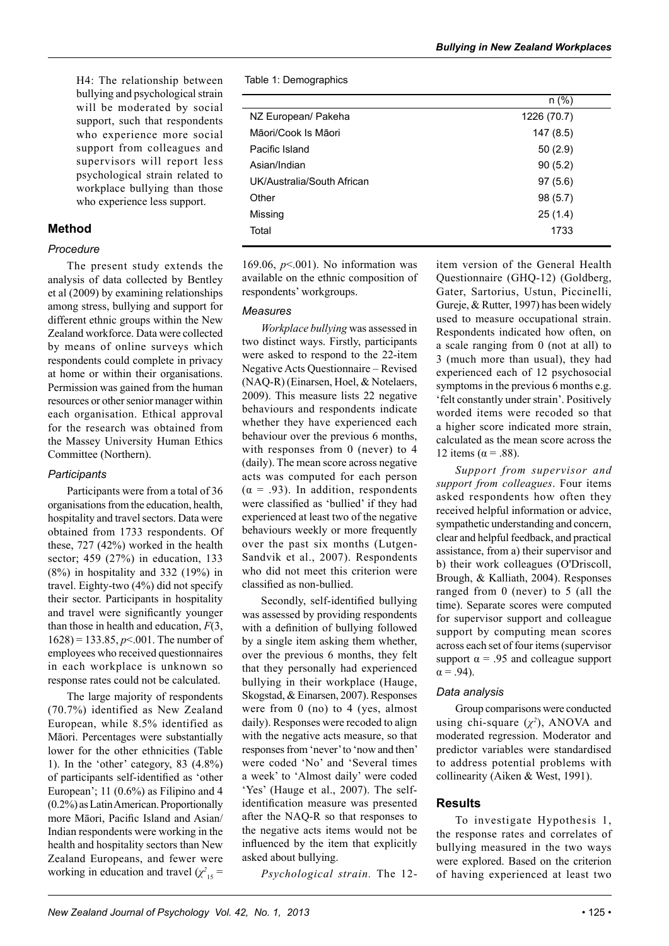H4: The relationship between bullying and psychological strain will be moderated by social support, such that respondents who experience more social support from colleagues and supervisors will report less psychological strain related to workplace bullying than those who experience less support.

# **Method**

#### *Procedure*

The present study extends the analysis of data collected by Bentley et al (2009) by examining relationships among stress, bullying and support for different ethnic groups within the New Zealand workforce. Data were collected by means of online surveys which respondents could complete in privacy at home or within their organisations. Permission was gained from the human resources or other senior manager within each organisation. Ethical approval for the research was obtained from the Massey University Human Ethics Committee (Northern).

# *Participants*

Participants were from a total of 36 organisations from the education, health, hospitality and travel sectors. Data were obtained from 1733 respondents. Of these, 727 (42%) worked in the health sector; 459 (27%) in education, 133 (8%) in hospitality and 332 (19%) in travel. Eighty-two (4%) did not specify their sector. Participants in hospitality and travel were significantly younger than those in health and education, *F*(3, 1628) = 133.85, *p*<.001. The number of employees who received questionnaires in each workplace is unknown so response rates could not be calculated.

The large majority of respondents (70.7%) identified as New Zealand European, while 8.5% identified as Māori. Percentages were substantially lower for the other ethnicities (Table 1). In the 'other' category, 83 (4.8%) of participants self-identified as 'other European'; 11 (0.6%) as Filipino and 4 (0.2%) as Latin American. Proportionally more Māori, Pacific Island and Asian/ Indian respondents were working in the health and hospitality sectors than New Zealand Europeans, and fewer were working in education and travel  $(\chi^2)_{15}$  = Table 1: Demographics

|                            | $n$ (%)     |
|----------------------------|-------------|
| NZ European/ Pakeha        | 1226 (70.7) |
| Māori/Cook Is Māori        | 147 (8.5)   |
| Pacific Island             | 50(2.9)     |
| Asian/Indian               | 90(5.2)     |
| UK/Australia/South African | 97(5.6)     |
| Other                      | 98 (5.7)    |
| Missing                    | 25(1.4)     |
| Total                      | 1733        |
|                            |             |

169.06, *p*<.001). No information was available on the ethnic composition of respondents' workgroups.

#### *Measures*

*Workplace bullying* was assessed in two distinct ways. Firstly, participants were asked to respond to the 22-item Negative Acts Questionnaire – Revised (NAQ-R) (Einarsen, Hoel, & Notelaers, 2009). This measure lists 22 negative behaviours and respondents indicate whether they have experienced each behaviour over the previous 6 months, with responses from 0 (never) to 4 (daily). The mean score across negative acts was computed for each person  $(\alpha = .93)$ . In addition, respondents were classified as 'bullied' if they had experienced at least two of the negative behaviours weekly or more frequently over the past six months (Lutgen-Sandvik et al., 2007). Respondents who did not meet this criterion were classified as non-bullied.

Secondly, self-identified bullying was assessed by providing respondents with a definition of bullying followed by a single item asking them whether, over the previous 6 months, they felt that they personally had experienced bullying in their workplace (Hauge, Skogstad, & Einarsen, 2007). Responses were from 0 (no) to 4 (yes, almost daily). Responses were recoded to align with the negative acts measure, so that responses from 'never' to 'now and then' were coded 'No' and 'Several times a week' to 'Almost daily' were coded 'Yes' (Hauge et al., 2007). The selfidentification measure was presented after the NAQ-R so that responses to the negative acts items would not be influenced by the item that explicitly asked about bullying.

*Psychological strain.* The 12-

item version of the General Health Questionnaire (GHQ-12) (Goldberg, Gater, Sartorius, Ustun, Piccinelli, Gureje, & Rutter, 1997) has been widely used to measure occupational strain. Respondents indicated how often, on a scale ranging from 0 (not at all) to 3 (much more than usual), they had experienced each of 12 psychosocial symptoms in the previous 6 months e.g. 'felt constantly under strain'. Positively worded items were recoded so that a higher score indicated more strain, calculated as the mean score across the 12 items ( $\alpha$  = .88).

*Support from supervisor and support from colleagues*. Four items asked respondents how often they received helpful information or advice, sympathetic understanding and concern, clear and helpful feedback, and practical assistance, from a) their supervisor and b) their work colleagues (O'Driscoll, Brough, & Kalliath, 2004). Responses ranged from 0 (never) to 5 (all the time). Separate scores were computed for supervisor support and colleague support by computing mean scores across each set of four items (supervisor support  $\alpha$  = .95 and colleague support  $\alpha = .94$ ).

# *Data analysis*

Group comparisons were conducted using chi-square  $(\chi^2)$ , ANOVA and moderated regression. Moderator and predictor variables were standardised to address potential problems with collinearity (Aiken & West, 1991).

# **Results**

To investigate Hypothesis 1, the response rates and correlates of bullying measured in the two ways were explored. Based on the criterion of having experienced at least two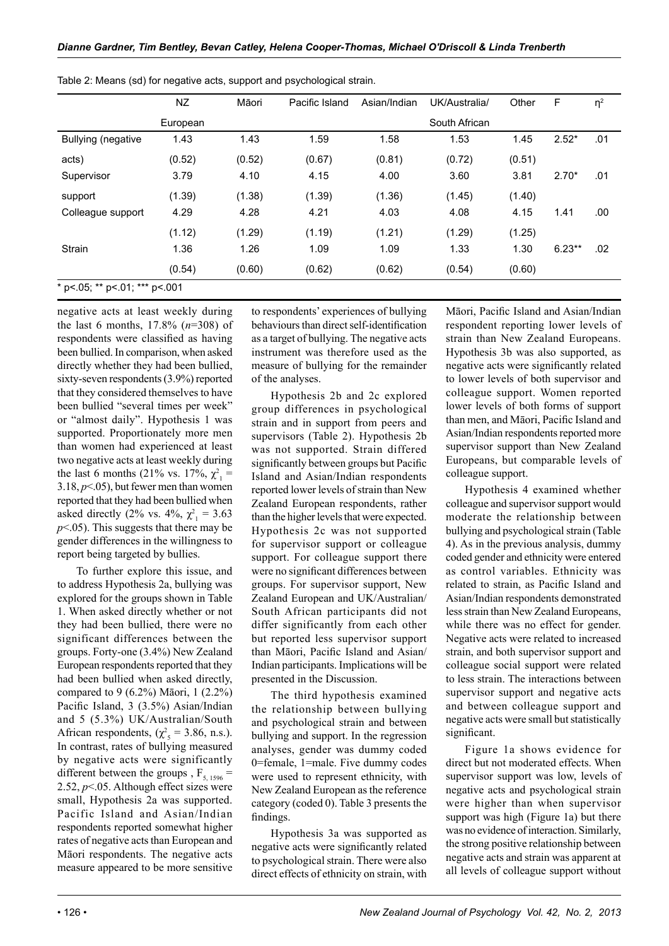|                                     | <b>NZ</b> | Māori  | Pacific Island | Asian/Indian | UK/Australia/ | Other  | F        | $\eta^2$ |
|-------------------------------------|-----------|--------|----------------|--------------|---------------|--------|----------|----------|
|                                     | European  |        |                |              | South African |        |          |          |
| <b>Bullying (negative</b>           | 1.43      | 1.43   | 1.59           | 1.58         | 1.53          | 1.45   | $2.52*$  | .01      |
| acts)                               | (0.52)    | (0.52) | (0.67)         | (0.81)       | (0.72)        | (0.51) |          |          |
| Supervisor                          | 3.79      | 4.10   | 4.15           | 4.00         | 3.60          | 3.81   | $2.70*$  | .01      |
| support                             | (1.39)    | (1.38) | (1.39)         | (1.36)       | (1.45)        | (1.40) |          |          |
| Colleague support                   | 4.29      | 4.28   | 4.21           | 4.03         | 4.08          | 4.15   | 1.41     | .00      |
|                                     | (1.12)    | (1.29) | (1.19)         | (1.21)       | (1.29)        | (1.25) |          |          |
| <b>Strain</b>                       | 1.36      | 1.26   | 1.09           | 1.09         | 1.33          | 1.30   | $6.23**$ | .02      |
|                                     | (0.54)    | (0.60) | (0.62)         | (0.62)       | (0.54)        | (0.60) |          |          |
| * p <. 05; ** p <. 01; *** p <. 001 |           |        |                |              |               |        |          |          |

Table 2: Means (sd) for negative acts, support and psychological strain.

negative acts at least weekly during the last 6 months, 17.8% (*n*=308) of respondents were classified as having been bullied. In comparison, when asked directly whether they had been bullied, sixty-seven respondents (3.9%) reported that they considered themselves to have been bullied "several times per week" or "almost daily". Hypothesis 1 was supported. Proportionately more men than women had experienced at least two negative acts at least weekly during the last 6 months (21% vs. 17%,  $\chi^2_{1}$  =  $3.18, p<.05$ ), but fewer men than women reported that they had been bullied when asked directly (2% vs. 4%,  $\chi^2_{1} = 3.63$ ) *p*<.05). This suggests that there may be gender differences in the willingness to report being targeted by bullies.

To further explore this issue, and to address Hypothesis 2a, bullying was explored for the groups shown in Table 1. When asked directly whether or not they had been bullied, there were no significant differences between the groups. Forty-one (3.4%) New Zealand European respondents reported that they had been bullied when asked directly, compared to 9 (6.2%) Māori, 1 (2.2%) Pacific Island, 3 (3.5%) Asian/Indian and 5 (5.3%) UK/Australian/South African respondents,  $(\chi^2_s = 3.86, n.s.).$ In contrast, rates of bullying measured by negative acts were significantly different between the groups,  $F_{5, 1596}$  = 2.52, *p*<.05. Although effect sizes were small, Hypothesis 2a was supported. Pacific Island and Asian/Indian respondents reported somewhat higher rates of negative acts than European and Māori respondents. The negative acts measure appeared to be more sensitive

to respondents' experiences of bullying behaviours than direct self-identification as a target of bullying. The negative acts instrument was therefore used as the measure of bullying for the remainder of the analyses.

Hypothesis 2b and 2c explored group differences in psychological strain and in support from peers and supervisors (Table 2). Hypothesis 2b was not supported. Strain differed significantly between groups but Pacific Island and Asian/Indian respondents reported lower levels of strain than New Zealand European respondents, rather than the higher levels that were expected. Hypothesis 2c was not supported for supervisor support or colleague support. For colleague support there were no significant differences between groups. For supervisor support, New Zealand European and UK/Australian/ South African participants did not differ significantly from each other but reported less supervisor support than Māori, Pacific Island and Asian/ Indian participants. Implications will be presented in the Discussion.

The third hypothesis examined the relationship between bullying and psychological strain and between bullying and support. In the regression analyses, gender was dummy coded 0=female, 1=male. Five dummy codes were used to represent ethnicity, with New Zealand European as the reference category (coded 0). Table 3 presents the findings.

Hypothesis 3a was supported as negative acts were significantly related to psychological strain. There were also direct effects of ethnicity on strain, with Māori, Pacific Island and Asian/Indian respondent reporting lower levels of strain than New Zealand Europeans. Hypothesis 3b was also supported, as negative acts were significantly related to lower levels of both supervisor and colleague support. Women reported lower levels of both forms of support than men, and Māori, Pacific Island and Asian/Indian respondents reported more supervisor support than New Zealand Europeans, but comparable levels of colleague support.

Hypothesis 4 examined whether colleague and supervisor support would moderate the relationship between bullying and psychological strain (Table 4). As in the previous analysis, dummy coded gender and ethnicity were entered as control variables. Ethnicity was related to strain, as Pacific Island and Asian/Indian respondents demonstrated less strain than New Zealand Europeans, while there was no effect for gender. Negative acts were related to increased strain, and both supervisor support and colleague social support were related to less strain. The interactions between supervisor support and negative acts and between colleague support and negative acts were small but statistically significant.

Figure 1a shows evidence for direct but not moderated effects. When supervisor support was low, levels of negative acts and psychological strain were higher than when supervisor support was high (Figure 1a) but there was no evidence of interaction. Similarly, the strong positive relationship between negative acts and strain was apparent at all levels of colleague support without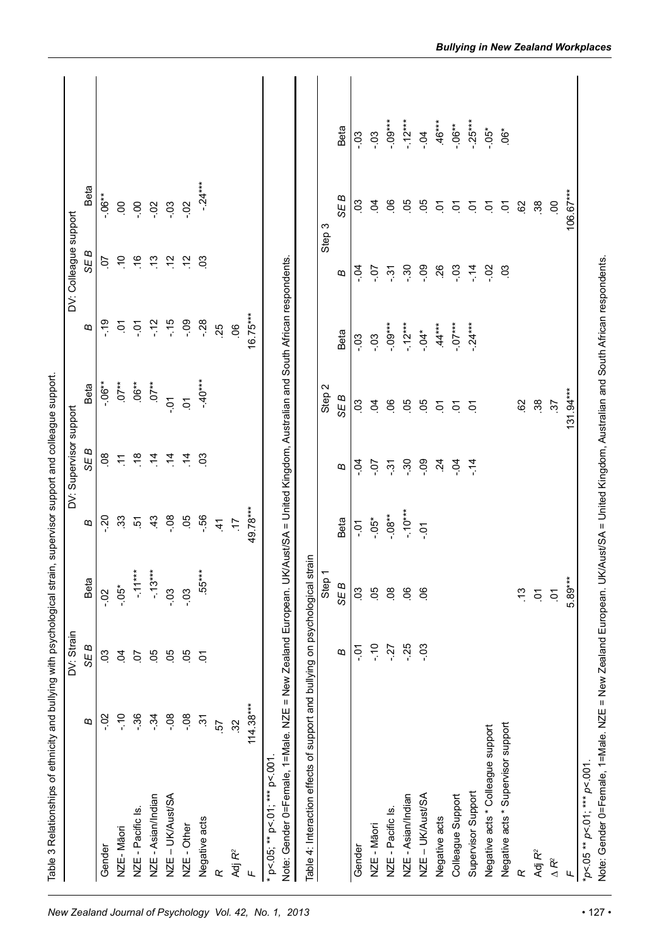|                                                                                                |               | DV: Strain     |                             |                  | DV: Supervisor support |                      |                                                                      | DV: Colleague support   |                      |            |
|------------------------------------------------------------------------------------------------|---------------|----------------|-----------------------------|------------------|------------------------|----------------------|----------------------------------------------------------------------|-------------------------|----------------------|------------|
|                                                                                                | ω             | SE B           | <b>Beta</b>                 | B                | SE B                   | Beta                 | ø                                                                    | SE B                    | Beta                 |            |
| Gender                                                                                         | ່ວິ           | ິຮິ            | $-0.2$                      | $-20$            | $\infty$               | $-0.06**$            | $\frac{6}{1}$                                                        | S                       | $-0.06**$            |            |
| NZE-Māori                                                                                      | $\frac{1}{2}$ | $\overline{5}$ | $-0.5*$                     | 33               | $\sum$                 | $.07**$              | Š                                                                    | $\ddot{ }$              | S                    |            |
| NZE - Pacific Is.                                                                              | $-36$         | S              | $-1.11***$                  | ċ                | $\frac{8}{1}$          | $.06***$             | č                                                                    | $\frac{6}{1}$           | $-0.0$               |            |
| NZE - Asian/Indian                                                                             | $-34$         | 50             | $-13***$                    | $\frac{4}{3}$    | $\dot{a}$              | $.07**$              | $-12$                                                                | $\frac{3}{2}$           | $-0.2$               |            |
| NZE - UK/Aust/SA                                                                               | $-0.8$        | 80.            | $-0.3$                      | $-0.8$           | $\dot{a}$              | ΡĊ.                  | $-15$                                                                | $\frac{6}{1}$           | $-0.3$               |            |
| NZE - Other                                                                                    | $-0.8$        | 50             | $-0.3$                      | 50               | $\overline{4}$         | ρ.                   | $-0.9$                                                               | $\ddot{5}$              | $-0.2$               |            |
| Negative acts                                                                                  | $\tilde{5}$   | $\sum$         | $.55***$                    | $-56$            | $\mathcal{S}$          | $-40***$             | $-28$                                                                | $\mathcal{L}^3$         | $-24***$             |            |
| œ                                                                                              | 57            |                |                             | $\dot{4}$        |                        |                      | 25                                                                   |                         |                      |            |
| Adj R <sup>2</sup>                                                                             | 32            |                |                             | Ľ.               |                        |                      | 0 <sup>o</sup>                                                       |                         |                      |            |
| Щ                                                                                              | $114.38***$   |                |                             | 49.78***         |                        |                      | $16.75***$                                                           |                         |                      |            |
| Note: Gender 0=Female, 1=Male. NZE = New Zealand European. UI<br>* p<.05; ** p<.01; *** p<.001 |               |                |                             |                  |                        |                      | K/Aust/SA = United Kingdom, Australian and South African respondents |                         |                      |            |
| Table 4: Interaction effects of support and bullying on psychological strain                   |               |                |                             |                  |                        |                      |                                                                      |                         |                      |            |
|                                                                                                |               |                | Step 1                      |                  |                        | Step 2               |                                                                      | Step 3                  |                      |            |
|                                                                                                |               | B              | SE B                        | Beta             | B                      | SE B                 | Beta                                                                 | B                       | SE B                 | Beta       |
| Gender                                                                                         |               | č-             | $\mathcal{S}^{\mathcal{O}}$ | $\overline{c}$ . | $-5$                   | $\mathbf{S}$         | $-03$                                                                | ġ                       | $\mathcal{S}$        | $-03$      |
| NZE - Māori                                                                                    |               | $\frac{1}{2}$  | 50                          | $-0.5*$          | $-0.7$                 | $\overline{5}$       | $-0.03$                                                              | $\dot{0}$ .             | S <sub>1</sub>       | $-03$      |
| NZE - Pacific Is.                                                                              |               | $-27$          | $\overline{0}$              | $-0.08**$        | $\ddot{\mathrm{S}}$    | $\overline{0}$       | $-0.09***$                                                           | $\tilde{\ddot{\omega}}$ | $\infty$             | $-0.00***$ |
| NZE - Asian/Indian                                                                             |               | $-25$          | $\mathcal{S}_{\mathcal{O}}$ | $-10***$         | $-0.30$                | <b>90</b>            | $-12***$                                                             | $-30$                   | 8g                   | $-12***$   |
| NZE - UK/Aust/SA                                                                               |               | $-0.3$         | $\overline{0}$              | $-0.7$           | $-0.9$                 | 8O                   | $-0.7$                                                               | eo.                     | 8g                   | $-0$ .     |
| Negative acts                                                                                  |               |                |                             |                  | $\ddot{5}$             | $\overline{c}$       | $44***$                                                              | 26                      | $\tilde{\mathbf{c}}$ | $-46***$   |
| Colleague Support                                                                              |               |                |                             |                  | $-0.4$                 | $\tilde{\sigma}$     | $-0.7***$                                                            | .co                     | Š                    | $-0.06**$  |
| Supervisor Support                                                                             |               |                |                             |                  | $-14$                  | $\overline{c}$       | $-24***$                                                             | $\frac{4}{1}$           | Š                    | $-25***$   |
| Negative acts * Colleague support                                                              |               |                |                             |                  |                        |                      |                                                                      | So.                     | Š                    | $-0.05*$   |
| Negative acts * Supervisor support                                                             |               |                |                             |                  |                        |                      |                                                                      | 03                      | Š                    | $6*$       |
| œ                                                                                              |               |                | $\frac{3}{2}$               |                  |                        | 82                   |                                                                      |                         | $\infty$             |            |
| Adj R <sup>2</sup>                                                                             |               |                | Š                           |                  |                        | 38                   |                                                                      |                         | $\frac{38}{2}$       |            |
| $\Delta R^2$                                                                                   |               |                | ρ.                          |                  |                        | $\ddot{\mathcal{E}}$ |                                                                      |                         | $\overline{0}$       |            |
| щ                                                                                              |               |                | 5.89***                     |                  |                        | $131.94***$          |                                                                      |                         | 106.67***            |            |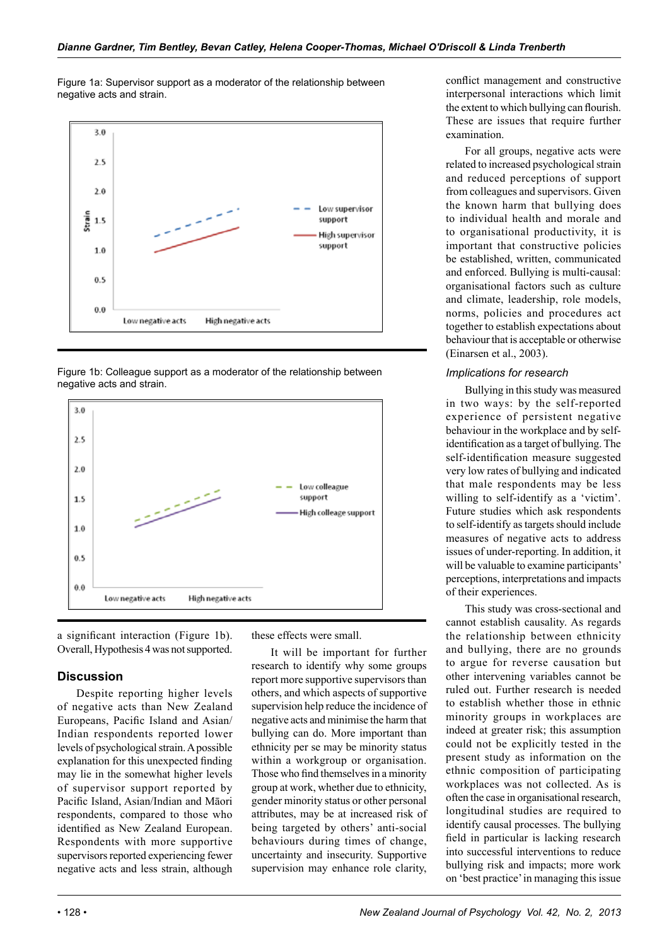Figure 1a: Supervisor support as a moderator of the relationship between negative acts and strain.



Figure 1b: Colleague support as a moderator of the relationship between negative acts and strain.



a significant interaction (Figure 1b). Overall, Hypothesis 4 was not supported.

# **Discussion**

Despite reporting higher levels of negative acts than New Zealand Europeans, Pacific Island and Asian/ Indian respondents reported lower levels of psychological strain. A possible explanation for this unexpected finding may lie in the somewhat higher levels of supervisor support reported by Pacific Island, Asian/Indian and Māori respondents, compared to those who identified as New Zealand European. Respondents with more supportive supervisors reported experiencing fewer negative acts and less strain, although

these effects were small.

It will be important for further research to identify why some groups report more supportive supervisors than others, and which aspects of supportive supervision help reduce the incidence of negative acts and minimise the harm that bullying can do. More important than ethnicity per se may be minority status within a workgroup or organisation. Those who find themselves in a minority group at work, whether due to ethnicity, gender minority status or other personal attributes, may be at increased risk of being targeted by others' anti-social behaviours during times of change, uncertainty and insecurity. Supportive supervision may enhance role clarity,

conflict management and constructive interpersonal interactions which limit the extent to which bullying can flourish. These are issues that require further examination.

For all groups, negative acts were related to increased psychological strain and reduced perceptions of support from colleagues and supervisors. Given the known harm that bullying does to individual health and morale and to organisational productivity, it is important that constructive policies be established, written, communicated and enforced. Bullying is multi-causal: organisational factors such as culture and climate, leadership, role models, norms, policies and procedures act together to establish expectations about behaviour that is acceptable or otherwise (Einarsen et al., 2003).

# *Implications for research*

Bullying in this study was measured in two ways: by the self-reported experience of persistent negative behaviour in the workplace and by selfidentification as a target of bullying. The self-identification measure suggested very low rates of bullying and indicated that male respondents may be less willing to self-identify as a 'victim'. Future studies which ask respondents to self-identify as targets should include measures of negative acts to address issues of under-reporting. In addition, it will be valuable to examine participants' perceptions, interpretations and impacts of their experiences.

This study was cross-sectional and cannot establish causality. As regards the relationship between ethnicity and bullying, there are no grounds to argue for reverse causation but other intervening variables cannot be ruled out. Further research is needed to establish whether those in ethnic minority groups in workplaces are indeed at greater risk; this assumption could not be explicitly tested in the present study as information on the ethnic composition of participating workplaces was not collected. As is often the case in organisational research, longitudinal studies are required to identify causal processes. The bullying field in particular is lacking research into successful interventions to reduce bullying risk and impacts; more work on 'best practice' in managing this issue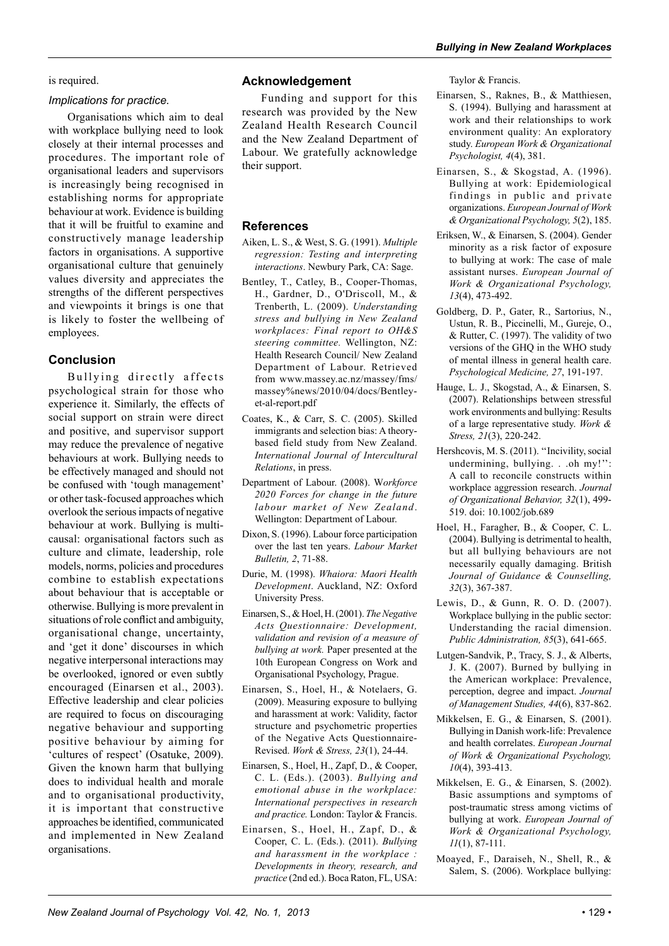# is required.

#### *Implications for practice.*

Organisations which aim to deal with workplace bullying need to look closely at their internal processes and procedures. The important role of organisational leaders and supervisors is increasingly being recognised in establishing norms for appropriate behaviour at work. Evidence is building that it will be fruitful to examine and constructively manage leadership factors in organisations. A supportive organisational culture that genuinely values diversity and appreciates the strengths of the different perspectives and viewpoints it brings is one that is likely to foster the wellbeing of employees.

# **Conclusion**

Bullying directly affects psychological strain for those who experience it. Similarly, the effects of social support on strain were direct and positive, and supervisor support may reduce the prevalence of negative behaviours at work. Bullying needs to be effectively managed and should not be confused with 'tough management' or other task-focused approaches which overlook the serious impacts of negative behaviour at work. Bullying is multicausal: organisational factors such as culture and climate, leadership, role models, norms, policies and procedures combine to establish expectations about behaviour that is acceptable or otherwise. Bullying is more prevalent in situations of role conflict and ambiguity, organisational change, uncertainty, and 'get it done' discourses in which negative interpersonal interactions may be overlooked, ignored or even subtly encouraged (Einarsen et al., 2003). Effective leadership and clear policies are required to focus on discouraging negative behaviour and supporting positive behaviour by aiming for 'cultures of respect' (Osatuke, 2009). Given the known harm that bullying does to individual health and morale and to organisational productivity, it is important that constructive approaches be identified, communicated and implemented in New Zealand organisations.

# **Acknowledgement**

Funding and support for this research was provided by the New Zealand Health Research Council and the New Zealand Department of Labour. We gratefully acknowledge their support.

# **References**

- Aiken, L. S., & West, S. G. (1991). *Multiple regression: Testing and interpreting interactions*. Newbury Park, CA: Sage.
- Bentley, T., Catley, B., Cooper-Thomas, H., Gardner, D., O'Driscoll, M., & Trenberth, L. (2009). *Understanding stress and bullying in New Zealand workplaces: Final report to OH&S steering committee.* Wellington, NZ: Health Research Council/ New Zealand Department of Labour. Retrieved from www.massey.ac.nz/massey/fms/ massey%news/2010/04/docs/Bentleyet-al-report.pdf
- Coates, K., & Carr, S. C. (2005). Skilled immigrants and selection bias: A theorybased field study from New Zealand. *International Journal of Intercultural Relations*, in press.
- Department of Labour. (2008). W*orkforce 2020 Forces for change in the future labour market of New Zealand*. Wellington: Department of Labour.
- Dixon, S. (1996). Labour force participation over the last ten years. *Labour Market Bulletin, 2*, 71-88.
- Durie, M. (1998). *Whaiora: Maori Health Development*. Auckland, NZ: Oxford University Press.
- Einarsen, S., & Hoel, H. (2001). *The Negative Acts Questionnaire: Development, validation and revision of a measure of bullying at work.* Paper presented at the 10th European Congress on Work and Organisational Psychology, Prague.
- Einarsen, S., Hoel, H., & Notelaers, G. (2009). Measuring exposure to bullying and harassment at work: Validity, factor structure and psychometric properties of the Negative Acts Questionnaire-Revised. *Work & Stress, 23*(1), 24-44.
- Einarsen, S., Hoel, H., Zapf, D., & Cooper, C. L. (Eds.). (2003). *Bullying and emotional abuse in the workplace: International perspectives in research and practice.* London: Taylor & Francis.
- Einarsen, S., Hoel, H., Zapf, D., & Cooper, C. L. (Eds.). (2011). *Bullying and harassment in the workplace : Developments in theory, research, and practice* (2nd ed.). Boca Raton, FL, USA:

Taylor & Francis.

- Einarsen, S., Raknes, B., & Matthiesen, S. (1994). Bullying and harassment at work and their relationships to work environment quality: An exploratory study. *European Work & Organizational Psychologist, 4*(4), 381.
- Einarsen, S., & Skogstad, A. (1996). Bullying at work: Epidemiological findings in public and private organizations. *European Journal of Work & Organizational Psychology, 5*(2), 185.
- Eriksen, W., & Einarsen, S. (2004). Gender minority as a risk factor of exposure to bullying at work: The case of male assistant nurses. *European Journal of Work & Organizational Psychology, 13*(4), 473-492.
- Goldberg, D. P., Gater, R., Sartorius, N., Ustun, R. B., Piccinelli, M., Gureje, O., & Rutter, C. (1997). The validity of two versions of the GHQ in the WHO study of mental illness in general health care. *Psychological Medicine, 27*, 191-197.
- Hauge, L. J., Skogstad, A., & Einarsen, S. (2007). Relationships between stressful work environments and bullying: Results of a large representative study. *Work & Stress, 21*(3), 220-242.
- Hershcovis, M. S. (2011). ''Incivility, social undermining, bullying. . .oh my!": A call to reconcile constructs within workplace aggression research. *Journal of Organizational Behavior, 32*(1), 499- 519. doi: 10.1002/job.689
- Hoel, H., Faragher, B., & Cooper, C. L. (2004). Bullying is detrimental to health, but all bullying behaviours are not necessarily equally damaging. British *Journal of Guidance & Counselling, 32*(3), 367-387.
- Lewis, D., & Gunn, R. O. D. (2007). Workplace bullying in the public sector: Understanding the racial dimension. *Public Administration, 85*(3), 641-665.
- Lutgen-Sandvik, P., Tracy, S. J., & Alberts, J. K. (2007). Burned by bullying in the American workplace: Prevalence, perception, degree and impact. *Journal of Management Studies, 44*(6), 837-862.
- Mikkelsen, E. G., & Einarsen, S. (2001). Bullying in Danish work-life: Prevalence and health correlates. *European Journal of Work & Organizational Psychology, 10*(4), 393-413.
- Mikkelsen, E. G., & Einarsen, S. (2002). Basic assumptions and symptoms of post-traumatic stress among victims of bullying at work. *European Journal of Work & Organizational Psychology, 11*(1), 87-111.
- Moayed, F., Daraiseh, N., Shell, R., & Salem, S. (2006). Workplace bullying: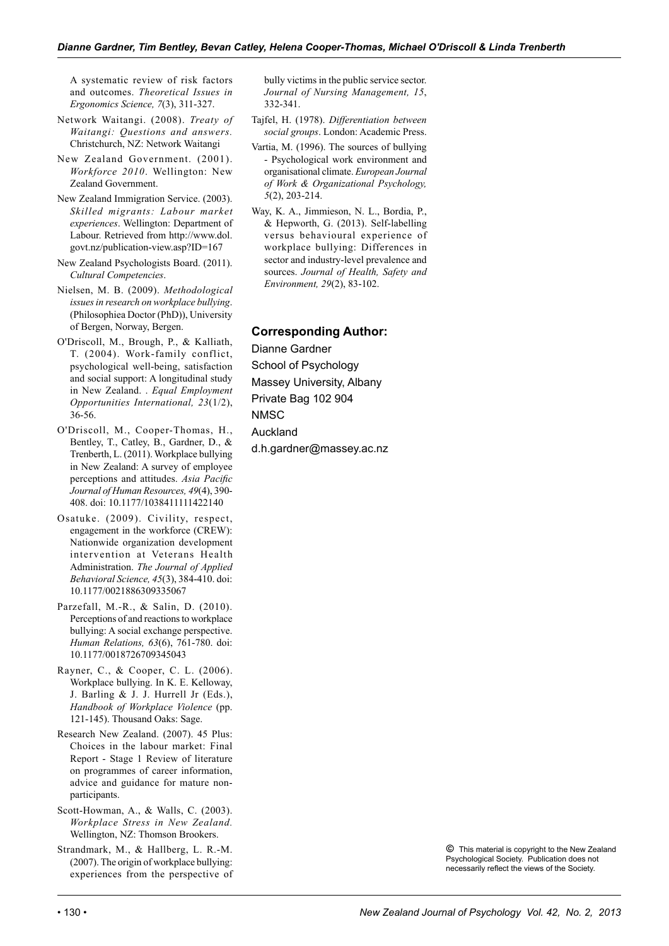A systematic review of risk factors and outcomes. *Theoretical Issues in Ergonomics Science, 7*(3), 311-327.

- Network Waitangi. (2008). *Treaty of Waitangi: Questions and answers.*  Christchurch, NZ: Network Waitangi
- New Zealand Government. (2001). *Workforce 2010*. Wellington: New Zealand Government.
- New Zealand Immigration Service. (2003). *Skilled migrants: Labour market experiences*. Wellington: Department of Labour. Retrieved from http://www.dol. govt.nz/publication-view.asp?ID=167
- New Zealand Psychologists Board. (2011). *Cultural Competencies*.
- Nielsen, M. B. (2009). *Methodological issues in research on workplace bullying*. (Philosophiea Doctor (PhD)), University of Bergen, Norway, Bergen.
- O'Driscoll, M., Brough, P., & Kalliath, T. (2004). Work-family conflict, psychological well-being, satisfaction and social support: A longitudinal study in New Zealand. . *Equal Employment Opportunities International, 23*(1/2), 36-56.
- O'Driscoll, M., Cooper-Thomas, H., Bentley, T., Catley, B., Gardner, D., & Trenberth, L. (2011). Workplace bullying in New Zealand: A survey of employee perceptions and attitudes. *Asia Pacific Journal of Human Resources, 49*(4), 390- 408. doi: 10.1177/1038411111422140
- Osatuke. (2009). Civility, respect, engagement in the workforce (CREW): Nationwide organization development intervention at Veterans Health Administration. *The Journal of Applied Behavioral Science, 45*(3), 384-410. doi: 10.1177/0021886309335067
- Parzefall, M.-R., & Salin, D. (2010). Perceptions of and reactions to workplace bullying: A social exchange perspective. *Human Relations, 63*(6), 761-780. doi: 10.1177/0018726709345043
- Rayner, C., & Cooper, C. L. (2006). Workplace bullying. In K. E. Kelloway, J. Barling & J. J. Hurrell Jr (Eds.), *Handbook of Workplace Violence* (pp. 121-145). Thousand Oaks: Sage.
- Research New Zealand. (2007). 45 Plus: Choices in the labour market: Final Report - Stage 1 Review of literature on programmes of career information, advice and guidance for mature nonparticipants.
- Scott-Howman, A., & Walls, C. (2003). *Workplace Stress in New Zealand.* Wellington, NZ: Thomson Brookers.
- Strandmark, M., & Hallberg, L. R.-M. (2007). The origin of workplace bullying: experiences from the perspective of

bully victims in the public service sector. *Journal of Nursing Management, 15*, 332-341.

- Tajfel, H. (1978). *Differentiation between social groups*. London: Academic Press.
- Vartia, M. (1996). The sources of bullying - Psychological work environment and organisational climate. *European Journal of Work & Organizational Psychology, 5*(2), 203-214.
- Way, K. A., Jimmieson, N. L., Bordia, P., & Hepworth, G. (2013). Self-labelling versus behavioural experience of workplace bullying: Differences in sector and industry-level prevalence and sources. *Journal of Health, Safety and Environment, 29*(2), 83-102.

# **Corresponding Author:**

Dianne Gardner School of Psychology Massey University, Albany Private Bag 102 904 **NMSC** Auckland d.h.gardner@massey.ac.nz

> *©* This material is copyright to the New Zealand Psychological Society. Publication does not necessarily reflect the views of the Society.